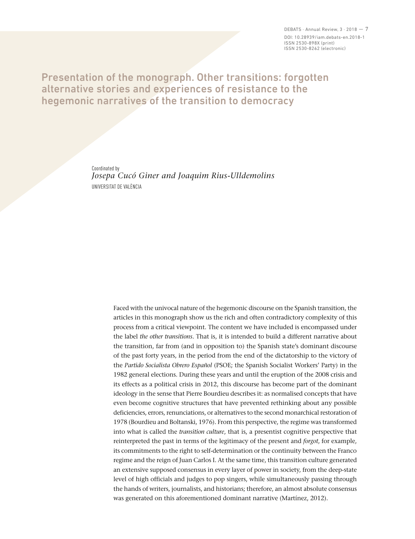DEBATS  $\cdot$  Annual Review, 3  $\cdot$  2018  $-7$ DOI: 10.28939/iam.debats-en.2018-1 ISSN 2530-898X (print) ISSN 2530-8262 (electronic)

## Presentation of the monograph. Other transitions: forgotten alternative stories and experiences of resistance to the hegemonic narratives of the transition to democracy

Coordinated by *Josepa Cucó Giner and Joaquim Rius-Ulldemolins*  UNIVERSITAT DE VALÈNCIA

> Faced with the univocal nature of the hegemonic discourse on the Spanish transition, the articles in this monograph show us the rich and often contradictory complexity of this process from a critical viewpoint. The content we have included is encompassed under the label *the other transitions*. That is, it is intended to build a different narrative about the transition, far from (and in opposition to) the Spanish state's dominant discourse of the past forty years, in the period from the end of the dictatorship to the victory of the *Partido Socialista Obrero Español* (PSOE; the Spanish Socialist Workers' Party) in the 1982 general elections. During these years and until the eruption of the 2008 crisis and its effects as a political crisis in 2012, this discourse has become part of the dominant ideology in the sense that Pierre Bourdieu describes it: as normalised concepts that have even become cognitive structures that have prevented rethinking about any possible deficiencies, errors, renunciations, or alternatives to the second monarchical restoration of 1978 (Bourdieu and Boltanski, 1976). From this perspective, the regime was transformed into what is called the *transition culture*, that is, a presentist cognitive perspective that reinterpreted the past in terms of the legitimacy of the present and *forgot*, for example, its commitments to the right to self-determination or the continuity between the Franco regime and the reign of Juan Carlos I. At the same time, this transition culture generated an extensive supposed consensus in every layer of power in society, from the deep-state level of high officials and judges to pop singers, while simultaneously passing through the hands of writers, journalists, and historians; therefore, an almost absolute consensus was generated on this aforementioned dominant narrative (Martínez, 2012).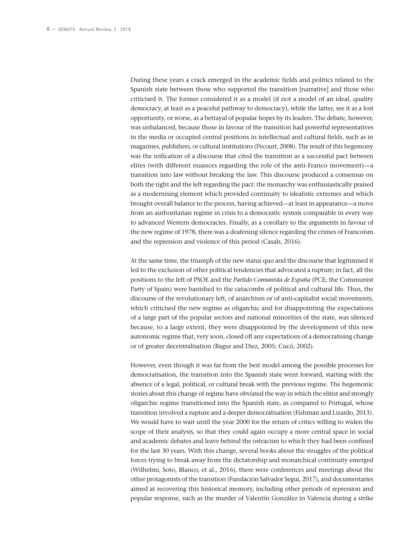During these years a crack emerged in the academic fields and politics related to the Spanish state between those who supported the transition [narrative] and those who criticised it. The former considered it as a model (if not a model of an ideal, quality democracy, at least as a peaceful pathway to democracy), while the latter, see it as a lost opportunity, or worse, as a betrayal of popular hopes by its leaders. The debate, however, was unbalanced, because those in favour of the transition had powerful representatives in the media or occupied central positions in intellectual and cultural fields, such as in magazines, publishers, or cultural institutions (Pecourt, 2008). The result of this hegemony was the reification of a discourse that cited the transition as a successful pact between elites (with different nuances regarding the role of the anti-Franco movement)—a transition into law without breaking the law. This discourse produced a consensus on both the right and the left regarding the pact: the monarchy was enthusiastically praised as a modernising element which provided continuity to idealistic extremes and which brought overall balance to the process, having achieved—at least in appearance—a move from an authoritarian regime in crisis to a democratic system comparable in every way to advanced Western democracies. Finally, as a corollary to the arguments in favour of the new regime of 1978, there was a deafening silence regarding the crimes of Francoism and the repression and violence of this period (Casals, 2016).

At the same time, the triumph of the new status quo and the discourse that legitimised it led to the exclusion of other political tendencies that advocated a rupture; in fact, all the positions to the left of PSOE and the *Partido Comunista de España* (PCE; the Communist Party of Spain) were banished to the catacombs of political and cultural life. Thus, the discourse of the revolutionary left, of anarchism or of anti-capitalist social movements, which criticised the new regime as oligarchic and for disappointing the expectations of a large part of the popular sectors and national minorities of the state, was silenced because, to a large extent, they were disappointed by the development of this new autonomic regime that, very soon, closed off any expectations of a democratising change or of greater decentralisation (Bagur and Diez, 2005; Cucó, 2002).

However, even though it was far from the best model among the possible processes for democratisation, the transition into the Spanish state went forward, starting with the absence of a legal, political, or cultural break with the previous regime. The hegemonic stories about this change of regime have obviated the way in which the elitist and strongly oligarchic regime transitioned into the Spanish state, as compared to Portugal, whose transition involved a rupture and a deeper democratisation (Fishman and Lizardo, 2013). We would have to wait until the year 2000 for the return of critics willing to widen the scope of their analysis, so that they could again occupy a more central space in social and academic debates and leave behind the ostracism to which they had been confined for the last 30 years. With this change, several books about the struggles of the political forces trying to break away from the dictatorship and monarchical continuity emerged (Wilhelmi, Soto, Blanco, et al., 2016), there were conferences and meetings about the other protagonists of the transition (Fundación Salvador Seguí, 2017), and documentaries aimed at recovering this historical memory, including other periods of repression and popular response, such as the murder of Valentín González in Valencia during a strike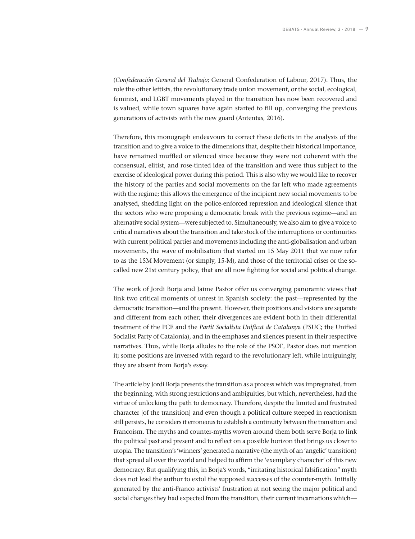(*Confederación General del Trabajo*; General Confederation of Labour, 2017). Thus, the role the other leftists, the revolutionary trade union movement, or the social, ecological, feminist, and LGBT movements played in the transition has now been recovered and is valued, while town squares have again started to fill up, converging the previous generations of activists with the new guard (Antentas, 2016).

Therefore, this monograph endeavours to correct these deficits in the analysis of the transition and to give a voice to the dimensions that, despite their historical importance, have remained muffled or silenced since because they were not coherent with the consensual, elitist, and rose-tinted idea of the transition and were thus subject to the exercise of ideological power during this period. This is also why we would like to recover the history of the parties and social movements on the far left who made agreements with the regime; this allows the emergence of the incipient new social movements to be analysed, shedding light on the police-enforced repression and ideological silence that the sectors who were proposing a democratic break with the previous regime—and an alternative social system—were subjected to. Simultaneously, we also aim to give a voice to critical narratives about the transition and take stock of the interruptions or continuities with current political parties and movements including the anti-globalisation and urban movements, the wave of mobilisation that started on 15 May 2011 that we now refer to as the 15M Movement (or simply, 15-M), and those of the territorial crises or the socalled new 21st century policy, that are all now fighting for social and political change.

The work of Jordi Borja and Jaime Pastor offer us converging panoramic views that link two critical moments of unrest in Spanish society: the past—represented by the democratic transition—and the present. However, their positions and visions are separate and different from each other; their divergences are evident both in their differential treatment of the PCE and the *Partit Socialista Unificat de Cataluny*a (PSUC; the Unified Socialist Party of Catalonia), and in the emphases and silences present in their respective narratives. Thus, while Borja alludes to the role of the PSOE, Pastor does not mention it; some positions are inversed with regard to the revolutionary left, while intriguingly, they are absent from Boria's essay.

The article by Jordi Borja presents the transition as a process which was impregnated, from the beginning, with strong restrictions and ambiguities, but which, nevertheless, had the virtue of unlocking the path to democracy. Therefore, despite the limited and frustrated character [of the transition] and even though a political culture steeped in reactionism still persists, he considers it erroneous to establish a continuity between the transition and Francoism. The myths and counter-myths woven around them both serve Borja to link the political past and present and to reflect on a possible horizon that brings us closer to utopia. The transition's 'winners' generated a narrative (the myth of an 'angelic' transition) that spread all over the world and helped to affirm the 'exemplary character' of this new democracy. But qualifying this, in Borja's words, "irritating historical falsification" myth does not lead the author to extol the supposed successes of the counter-myth. Initially generated by the anti-Franco activists' frustration at not seeing the major political and social changes they had expected from the transition, their current incarnations which—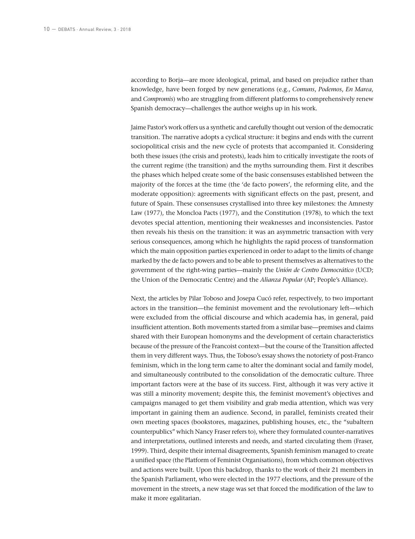according to Borja—are more ideological, primal, and based on prejudice rather than knowledge, have been forged by new generations (e.g., *Comuns*, *Podemos*, *En Marea*, and *Compromis*) who are struggling from different platforms to comprehensively renew Spanish democracy—challenges the author weighs up in his work.

Jaime Pastor's work offers us a synthetic and carefully thought out version of the democratic transition. The narrative adopts a cyclical structure: it begins and ends with the current sociopolitical crisis and the new cycle of protests that accompanied it. Considering both these issues (the crisis and protests), leads him to critically investigate the roots of the current regime (the transition) and the myths surrounding them. First it describes the phases which helped create some of the basic consensuses established between the majority of the forces at the time (the 'de facto powers', the reforming elite, and the moderate opposition): agreements with significant effects on the past, present, and future of Spain. These consensuses crystallised into three key milestones: the Amnesty Law (1977), the Moncloa Pacts (1977), and the Constitution (1978), to which the text devotes special attention, mentioning their weaknesses and inconsistencies. Pastor then reveals his thesis on the transition: it was an asymmetric transaction with very serious consequences, among which he highlights the rapid process of transformation which the main opposition parties experienced in order to adapt to the limits of change marked by the de facto powers and to be able to present themselves as alternatives to the government of the right-wing parties—mainly the *Unión de Centro Democrático* (UCD; the Union of the Democratic Centre) and the *Alianza Popular* (AP; People's Alliance).

Next, the articles by Pilar Toboso and Josepa Cucó refer, respectively, to two important actors in the transition—the feminist movement and the revolutionary left—which were excluded from the official discourse and which academia has, in general, paid insufficient attention. Both movements started from a similar base—premises and claims shared with their European homonyms and the development of certain characteristics because of the pressure of the Francoist context—but the course of the Transition affected them in very different ways. Thus, the Toboso's essay shows the notoriety of post-Franco feminism, which in the long term came to alter the dominant social and family model, and simultaneously contributed to the consolidation of the democratic culture. Three important factors were at the base of its success. First, although it was very active it was still a minority movement; despite this, the feminist movement's objectives and campaigns managed to get them visibility and grab media attention, which was very important in gaining them an audience. Second, in parallel, feminists created their own meeting spaces (bookstores, magazines, publishing houses, etc., the "subaltern counterpublics" which Nancy Fraser refers to), where they formulated counter-narratives and interpretations, outlined interests and needs, and started circulating them (Fraser, 1999). Third, despite their internal disagreements, Spanish feminism managed to create a unified space (the Platform of Feminist Organisations), from which common objectives and actions were built. Upon this backdrop, thanks to the work of their 21 members in the Spanish Parliament, who were elected in the 1977 elections, and the pressure of the movement in the streets, a new stage was set that forced the modification of the law to make it more egalitarian.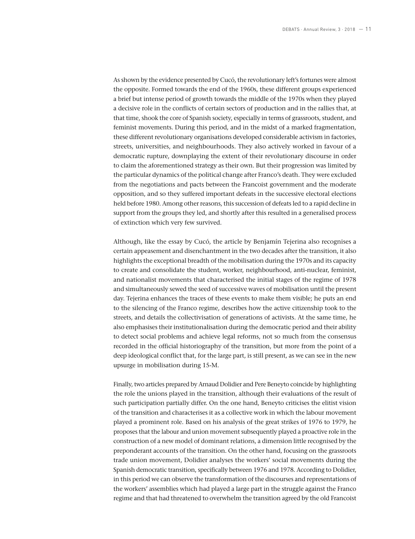As shown by the evidence presented by Cucó, the revolutionary left's fortunes were almost the opposite. Formed towards the end of the 1960s, these different groups experienced a brief but intense period of growth towards the middle of the 1970s when they played a decisive role in the conflicts of certain sectors of production and in the rallies that, at that time, shook the core of Spanish society, especially in terms of grassroots, student, and feminist movements. During this period, and in the midst of a marked fragmentation, these different revolutionary organisations developed considerable activism in factories, streets, universities, and neighbourhoods. They also actively worked in favour of a democratic rupture, downplaying the extent of their revolutionary discourse in order to claim the aforementioned strategy as their own. But their progression was limited by the particular dynamics of the political change after Franco's death. They were excluded from the negotiations and pacts between the Francoist government and the moderate opposition, and so they suffered important defeats in the successive electoral elections held before 1980. Among other reasons, this succession of defeats led to a rapid decline in support from the groups they led, and shortly after this resulted in a generalised process of extinction which very few survived.

Although, like the essay by Cucó, the article by Benjamín Tejerina also recognises a certain appeasement and disenchantment in the two decades after the transition, it also highlights the exceptional breadth of the mobilisation during the 1970s and its capacity to create and consolidate the student, worker, neighbourhood, anti-nuclear, feminist, and nationalist movements that characterised the initial stages of the regime of 1978 and simultaneously sewed the seed of successive waves of mobilisation until the present day. Tejerina enhances the traces of these events to make them visible; he puts an end to the silencing of the Franco regime, describes how the active citizenship took to the streets, and details the collectivisation of generations of activists. At the same time, he also emphasises their institutionalisation during the democratic period and their ability to detect social problems and achieve legal reforms, not so much from the consensus recorded in the official historiography of the transition, but more from the point of a deep ideological conflict that, for the large part, is still present, as we can see in the new upsurge in mobilisation during 15-M.

Finally, two articles prepared by Arnaud Dolidier and Pere Beneyto coincide by highlighting the role the unions played in the transition, although their evaluations of the result of such participation partially differ. On the one hand, Beneyto criticises the elitist vision of the transition and characterises it as a collective work in which the labour movement played a prominent role. Based on his analysis of the great strikes of 1976 to 1979, he proposes that the labour and union movement subsequently played a proactive role in the construction of a new model of dominant relations, a dimension little recognised by the preponderant accounts of the transition. On the other hand, focusing on the grassroots trade union movement, Dolidier analyses the workers' social movements during the Spanish democratic transition, specifically between 1976 and 1978. According to Dolidier, in this period we can observe the transformation of the discourses and representations of the workers' assemblies which had played a large part in the struggle against the Franco regime and that had threatened to overwhelm the transition agreed by the old Francoist